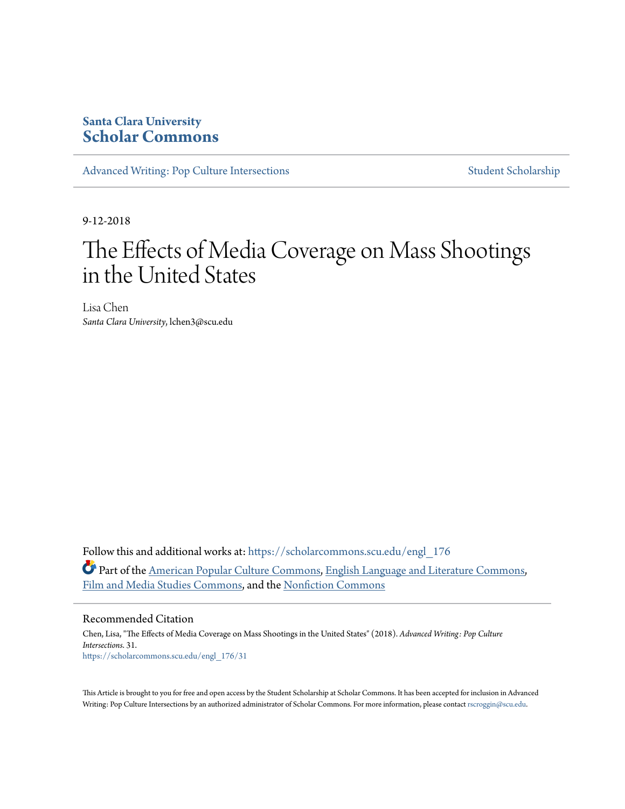# **Santa Clara University [Scholar Commons](https://scholarcommons.scu.edu?utm_source=scholarcommons.scu.edu%2Fengl_176%2F31&utm_medium=PDF&utm_campaign=PDFCoverPages)**

[Advanced Writing: Pop Culture Intersections](https://scholarcommons.scu.edu/engl_176?utm_source=scholarcommons.scu.edu%2Fengl_176%2F31&utm_medium=PDF&utm_campaign=PDFCoverPages) [Student Scholarship](https://scholarcommons.scu.edu/student_scholar?utm_source=scholarcommons.scu.edu%2Fengl_176%2F31&utm_medium=PDF&utm_campaign=PDFCoverPages)

9-12-2018

# The Effects of Media Coverage on Mass Shootings in the United States

Lisa Chen *Santa Clara University*, lchen3@scu.edu

Follow this and additional works at: [https://scholarcommons.scu.edu/engl\\_176](https://scholarcommons.scu.edu/engl_176?utm_source=scholarcommons.scu.edu%2Fengl_176%2F31&utm_medium=PDF&utm_campaign=PDFCoverPages) Part of the [American Popular Culture Commons](http://network.bepress.com/hgg/discipline/443?utm_source=scholarcommons.scu.edu%2Fengl_176%2F31&utm_medium=PDF&utm_campaign=PDFCoverPages), [English Language and Literature Commons](http://network.bepress.com/hgg/discipline/455?utm_source=scholarcommons.scu.edu%2Fengl_176%2F31&utm_medium=PDF&utm_campaign=PDFCoverPages), [Film and Media Studies Commons](http://network.bepress.com/hgg/discipline/563?utm_source=scholarcommons.scu.edu%2Fengl_176%2F31&utm_medium=PDF&utm_campaign=PDFCoverPages), and the [Nonfiction Commons](http://network.bepress.com/hgg/discipline/1152?utm_source=scholarcommons.scu.edu%2Fengl_176%2F31&utm_medium=PDF&utm_campaign=PDFCoverPages)

#### Recommended Citation

Chen, Lisa, "The Effects of Media Coverage on Mass Shootings in the United States" (2018). *Advanced Writing: Pop Culture Intersections*. 31. [https://scholarcommons.scu.edu/engl\\_176/31](https://scholarcommons.scu.edu/engl_176/31?utm_source=scholarcommons.scu.edu%2Fengl_176%2F31&utm_medium=PDF&utm_campaign=PDFCoverPages)

This Article is brought to you for free and open access by the Student Scholarship at Scholar Commons. It has been accepted for inclusion in Advanced Writing: Pop Culture Intersections by an authorized administrator of Scholar Commons. For more information, please contact [rscroggin@scu.edu](mailto:rscroggin@scu.edu).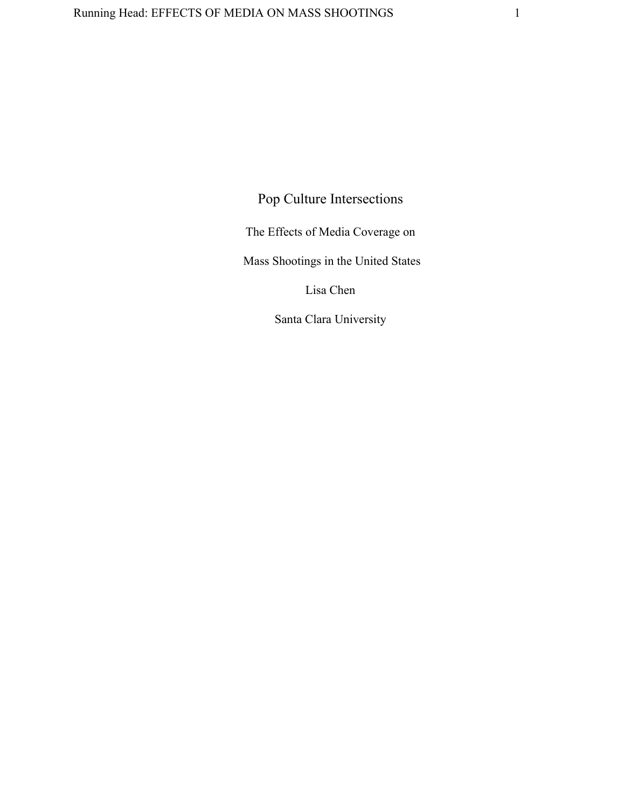Pop Culture Intersections

The Effects of Media Coverage on

Mass Shootings in the United States

Lisa Chen

Santa Clara University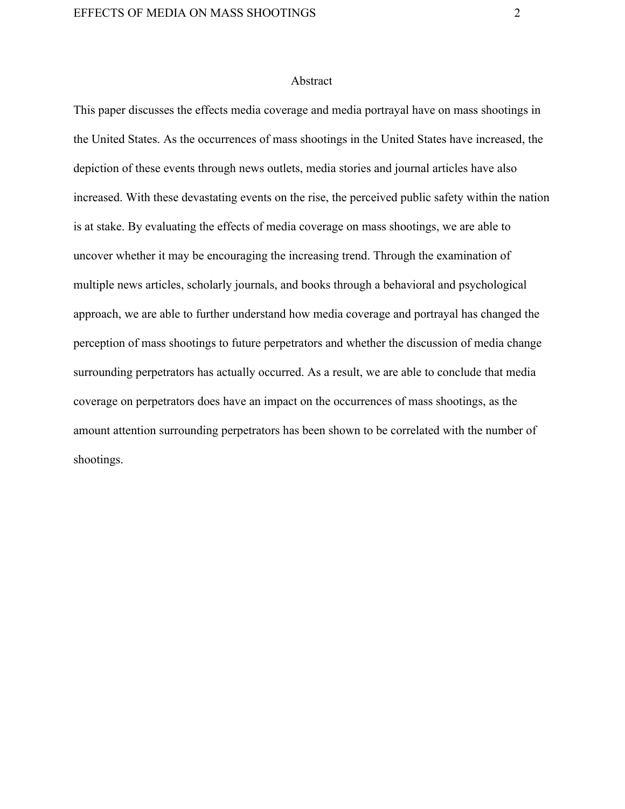# Abstract

This paper discusses the effects media coverage and media portrayal have on mass shootings in the United States. As the occurrences of mass shootings in the United States have increased, the depiction of these events through news outlets, media stories and journal articles have also increased. With these devastating events on the rise, the perceived public safety within the nation is at stake. By evaluating the effects of media coverage on mass shootings, we are able to uncover whether it may be encouraging the increasing trend. Through the examination of multiple news articles, scholarly journals, and books through a behavioral and psychological approach, we are able to further understand how media coverage and portrayal has changed the perception of mass shootings to future perpetrators and whether the discussion of media change surrounding perpetrators has actually occurred. As a result, we are able to conclude that media coverage on perpetrators does have an impact on the occurrences of mass shootings, as the amount attention surrounding perpetrators has been shown to be correlated with the number of shootings.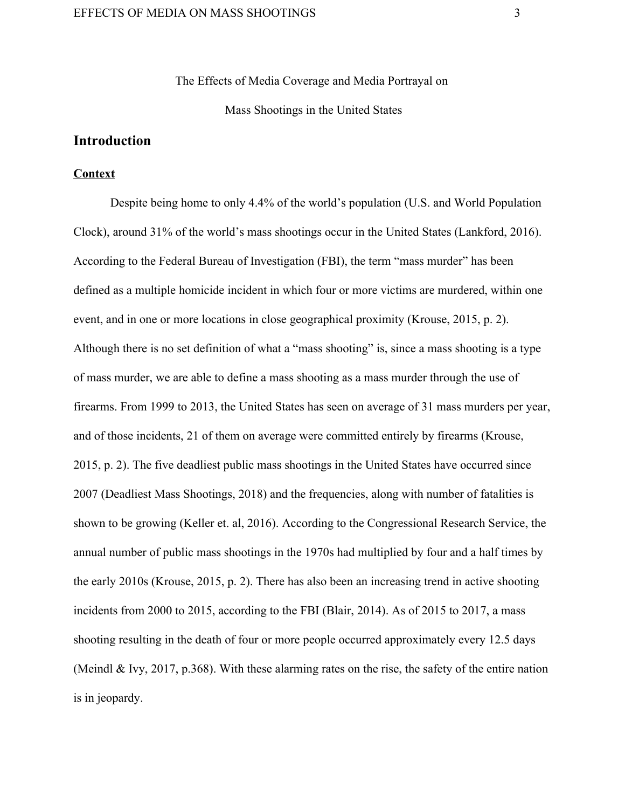The Effects of Media Coverage and Media Portrayal on Mass Shootings in the United States

# **Introduction**

# **Context**

Despite being home to only 4.4% of the world's population (U.S. and World Population Clock), around 31% of the world's mass shootings occur in the United States (Lankford, 2016). According to the Federal Bureau of Investigation (FBI), the term "mass murder" has been defined as a multiple homicide incident in which four or more victims are murdered, within one event, and in one or more locations in close geographical proximity (Krouse, 2015, p. 2). Although there is no set definition of what a "mass shooting" is, since a mass shooting is a type of mass murder, we are able to define a mass shooting as a mass murder through the use of firearms. From 1999 to 2013, the United States has seen on average of 31 mass murders per year, and of those incidents, 21 of them on average were committed entirely by firearms (Krouse, 2015, p. 2). The five deadliest public mass shootings in the United States have occurred since 2007 (Deadliest Mass Shootings, 2018) and the frequencies, along with number of fatalities is shown to be growing (Keller et. al, 2016). According to the Congressional Research Service, the annual number of public mass shootings in the 1970s had multiplied by four and a half times by the early 2010s (Krouse, 2015, p. 2). There has also been an increasing trend in active shooting incidents from 2000 to 2015, according to the FBI (Blair, 2014). As of 2015 to 2017, a mass shooting resulting in the death of four or more people occurred approximately every 12.5 days (Meindl & Ivy, 2017, p.368). With these alarming rates on the rise, the safety of the entire nation is in jeopardy.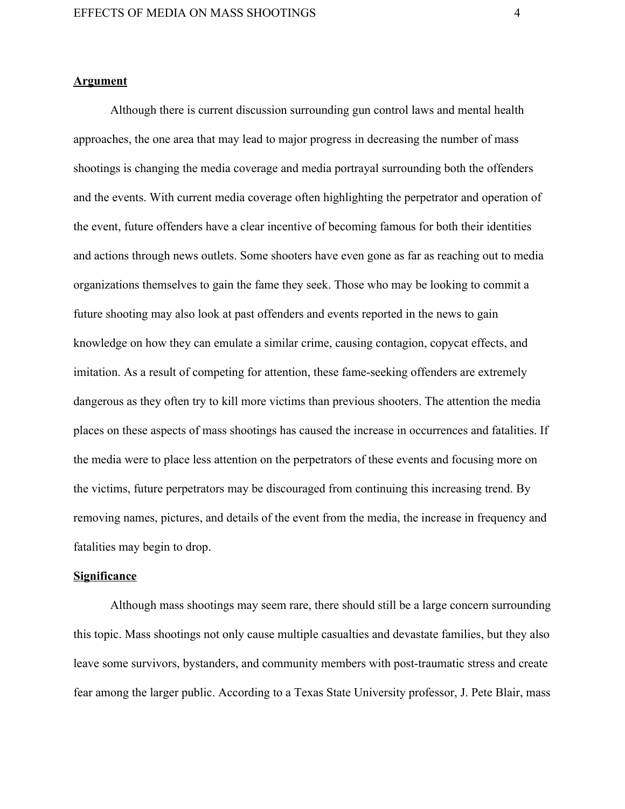# **Argument**

Although there is current discussion surrounding gun control laws and mental health approaches, the one area that may lead to major progress in decreasing the number of mass shootings is changing the media coverage and media portrayal surrounding both the offenders and the events. With current media coverage often highlighting the perpetrator and operation of the event, future offenders have a clear incentive of becoming famous for both their identities and actions through news outlets. Some shooters have even gone as far as reaching out to media organizations themselves to gain the fame they seek. Those who may be looking to commit a future shooting may also look at past offenders and events reported in the news to gain knowledge on how they can emulate a similar crime, causing contagion, copycat effects, and imitation. As a result of competing for attention, these fame-seeking offenders are extremely dangerous as they often try to kill more victims than previous shooters. The attention the media places on these aspects of mass shootings has caused the increase in occurrences and fatalities. If the media were to place less attention on the perpetrators of these events and focusing more on the victims, future perpetrators may be discouraged from continuing this increasing trend. By removing names, pictures, and details of the event from the media, the increase in frequency and fatalities may begin to drop.

# **Significance**

Although mass shootings may seem rare, there should still be a large concern surrounding this topic. Mass shootings not only cause multiple casualties and devastate families, but they also leave some survivors, bystanders, and community members with post-traumatic stress and create fear among the larger public. According to a Texas State University professor, J. Pete Blair, mass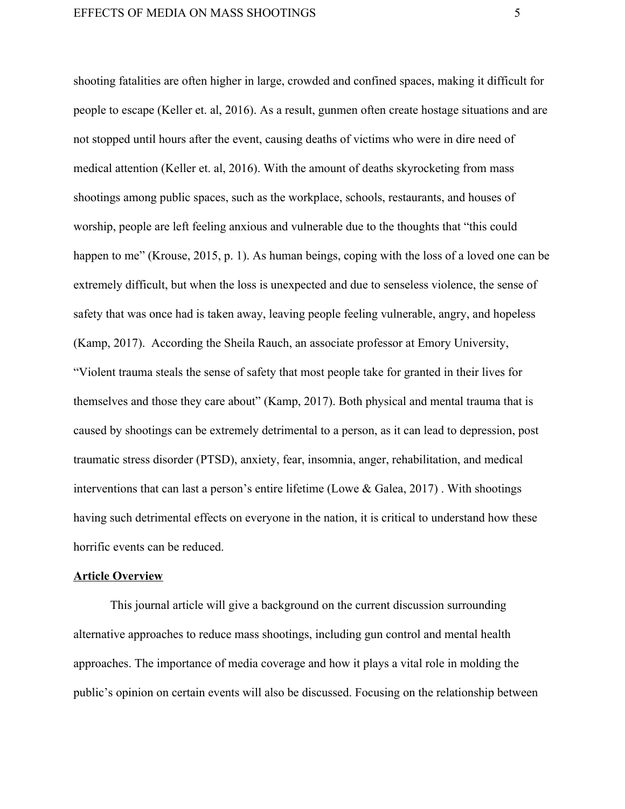shooting fatalities are often higher in large, crowded and confined spaces, making it difficult for people to escape (Keller et. al, 2016). As a result, gunmen often create hostage situations and are not stopped until hours after the event, causing deaths of victims who were in dire need of medical attention (Keller et. al, 2016). With the amount of deaths skyrocketing from mass shootings among public spaces, such as the workplace, schools, restaurants, and houses of worship, people are left feeling anxious and vulnerable due to the thoughts that "this could happen to me" (Krouse, 2015, p. 1). As human beings, coping with the loss of a loved one can be extremely difficult, but when the loss is unexpected and due to senseless violence, the sense of safety that was once had is taken away, leaving people feeling vulnerable, angry, and hopeless (Kamp, 2017). According the Sheila Rauch, an associate professor at Emory University, "Violent trauma steals the sense of safety that most people take for granted in their lives for themselves and those they care about" (Kamp, 2017). Both physical and mental trauma that is caused by shootings can be extremely detrimental to a person, as it can lead to depression, post traumatic stress disorder (PTSD), anxiety, fear, insomnia, anger, rehabilitation, and medical interventions that can last a person's entire lifetime (Lowe & Galea, 2017) . With shootings having such detrimental effects on everyone in the nation, it is critical to understand how these horrific events can be reduced.

# **Article Overview**

This journal article will give a background on the current discussion surrounding alternative approaches to reduce mass shootings, including gun control and mental health approaches. The importance of media coverage and how it plays a vital role in molding the public's opinion on certain events will also be discussed. Focusing on the relationship between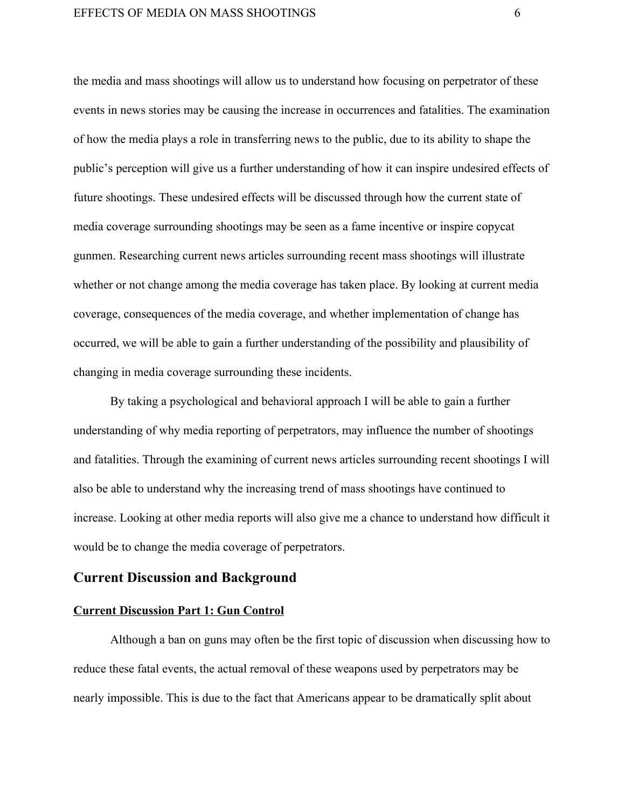the media and mass shootings will allow us to understand how focusing on perpetrator of these events in news stories may be causing the increase in occurrences and fatalities. The examination of how the media plays a role in transferring news to the public, due to its ability to shape the public's perception will give us a further understanding of how it can inspire undesired effects of future shootings. These undesired effects will be discussed through how the current state of media coverage surrounding shootings may be seen as a fame incentive or inspire copycat gunmen. Researching current news articles surrounding recent mass shootings will illustrate whether or not change among the media coverage has taken place. By looking at current media coverage, consequences of the media coverage, and whether implementation of change has occurred, we will be able to gain a further understanding of the possibility and plausibility of changing in media coverage surrounding these incidents.

By taking a psychological and behavioral approach I will be able to gain a further understanding of why media reporting of perpetrators, may influence the number of shootings and fatalities. Through the examining of current news articles surrounding recent shootings I will also be able to understand why the increasing trend of mass shootings have continued to increase. Looking at other media reports will also give me a chance to understand how difficult it would be to change the media coverage of perpetrators.

# **Current Discussion and Background**

#### **Current Discussion Part 1: Gun Control**

Although a ban on guns may often be the first topic of discussion when discussing how to reduce these fatal events, the actual removal of these weapons used by perpetrators may be nearly impossible. This is due to the fact that Americans appear to be dramatically split about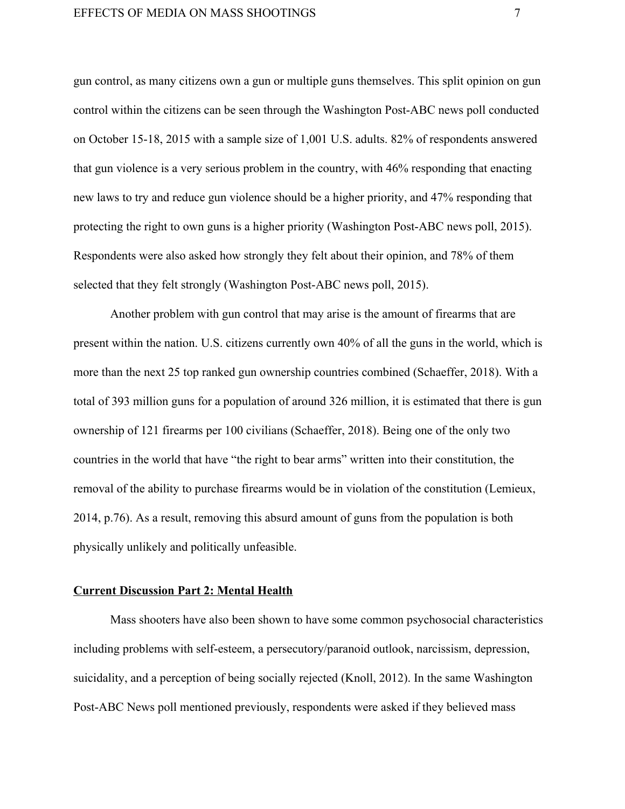gun control, as many citizens own a gun or multiple guns themselves. This split opinion on gun control within the citizens can be seen through the Washington Post-ABC news poll conducted on October 15-18, 2015 with a sample size of 1,001 U.S. adults. 82% of respondents answered that gun violence is a very serious problem in the country, with 46% responding that enacting new laws to try and reduce gun violence should be a higher priority, and 47% responding that protecting the right to own guns is a higher priority (Washington Post-ABC news poll, 2015). Respondents were also asked how strongly they felt about their opinion, and 78% of them selected that they felt strongly (Washington Post-ABC news poll, 2015).

Another problem with gun control that may arise is the amount of firearms that are present within the nation. U.S. citizens currently own 40% of all the guns in the world, which is more than the next 25 top ranked gun ownership countries combined (Schaeffer, 2018). With a total of 393 million guns for a population of around 326 million, it is estimated that there is gun ownership of 121 firearms per 100 civilians (Schaeffer, 2018). Being one of the only two countries in the world that have "the right to bear arms" written into their constitution, the removal of the ability to purchase firearms would be in violation of the constitution (Lemieux, 2014, p.76). As a result, removing this absurd amount of guns from the population is both physically unlikely and politically unfeasible.

# **Current Discussion Part 2: Mental Health**

Mass shooters have also been shown to have some common psychosocial characteristics including problems with self-esteem, a persecutory/paranoid outlook, narcissism, depression, suicidality, and a perception of being socially rejected (Knoll, 2012). In the same Washington Post-ABC News poll mentioned previously, respondents were asked if they believed mass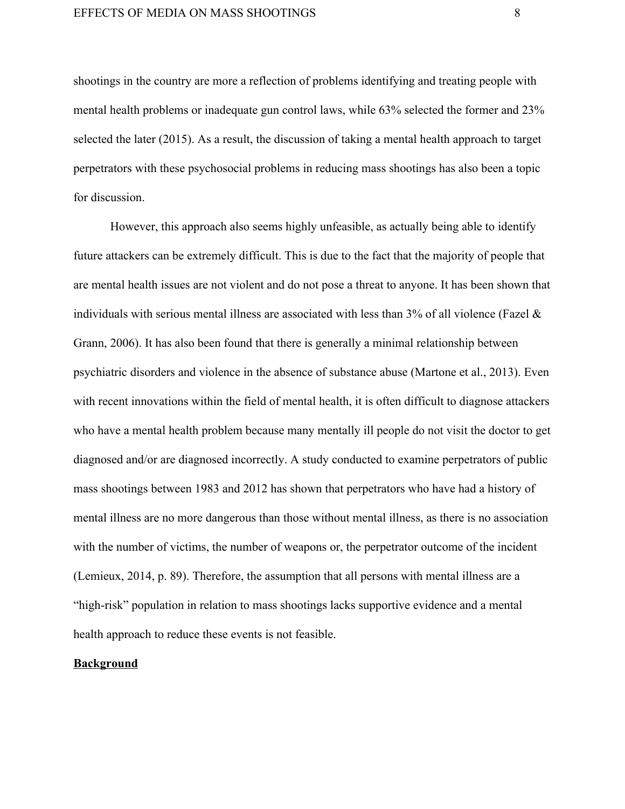shootings in the country are more a reflection of problems identifying and treating people with mental health problems or inadequate gun control laws, while 63% selected the former and 23% selected the later (2015). As a result, the discussion of taking a mental health approach to target perpetrators with these psychosocial problems in reducing mass shootings has also been a topic for discussion.

However, this approach also seems highly unfeasible, as actually being able to identify future attackers can be extremely difficult. This is due to the fact that the majority of people that are mental health issues are not violent and do not pose a threat to anyone. It has been shown that individuals with serious mental illness are associated with less than  $3\%$  of all violence (Fazel  $\&$ Grann, 2006). It has also been found that there is generally a minimal relationship between psychiatric disorders and violence in the absence of substance abuse (Martone et al., 2013). Even with recent innovations within the field of mental health, it is often difficult to diagnose attackers who have a mental health problem because many mentally ill people do not visit the doctor to get diagnosed and/or are diagnosed incorrectly. A study conducted to examine perpetrators of public mass shootings between 1983 and 2012 has shown that perpetrators who have had a history of mental illness are no more dangerous than those without mental illness, as there is no association with the number of victims, the number of weapons or, the perpetrator outcome of the incident (Lemieux, 2014, p. 89). Therefore, the assumption that all persons with mental illness are a "high-risk" population in relation to mass shootings lacks supportive evidence and a mental health approach to reduce these events is not feasible.

# **Background**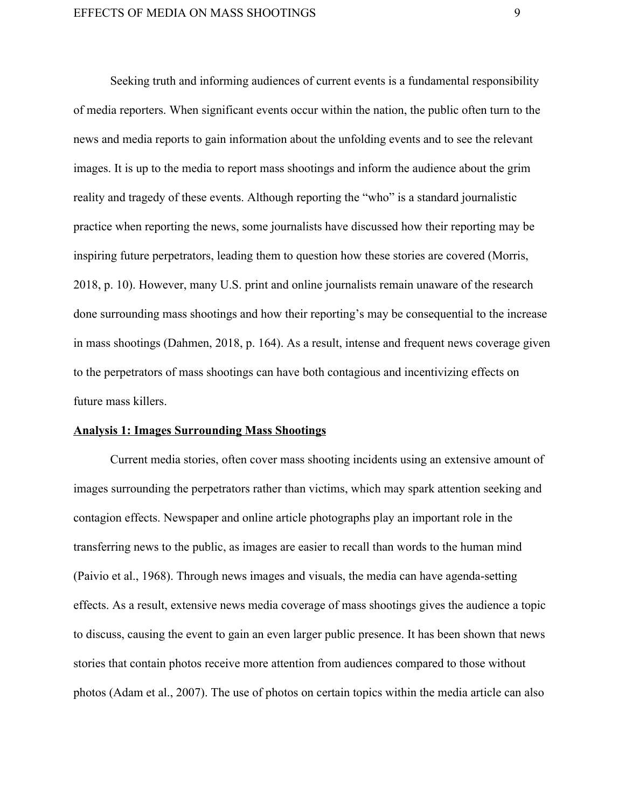Seeking truth and informing audiences of current events is a fundamental responsibility of media reporters. When significant events occur within the nation, the public often turn to the news and media reports to gain information about the unfolding events and to see the relevant images. It is up to the media to report mass shootings and inform the audience about the grim reality and tragedy of these events. Although reporting the "who" is a standard journalistic practice when reporting the news, some journalists have discussed how their reporting may be inspiring future perpetrators, leading them to question how these stories are covered (Morris, 2018, p. 10). However, many U.S. print and online journalists remain unaware of the research done surrounding mass shootings and how their reporting's may be consequential to the increase in mass shootings (Dahmen, 2018, p. 164). As a result, intense and frequent news coverage given to the perpetrators of mass shootings can have both contagious and incentivizing effects on future mass killers.

#### **Analysis 1: Images Surrounding Mass Shootings**

Current media stories, often cover mass shooting incidents using an extensive amount of images surrounding the perpetrators rather than victims, which may spark attention seeking and contagion effects. Newspaper and online article photographs play an important role in the transferring news to the public, as images are easier to recall than words to the human mind (Paivio et al., 1968). Through news images and visuals, the media can have agenda-setting effects. As a result, extensive news media coverage of mass shootings gives the audience a topic to discuss, causing the event to gain an even larger public presence. It has been shown that news stories that contain photos receive more attention from audiences compared to those without photos (Adam et al., 2007). The use of photos on certain topics within the media article can also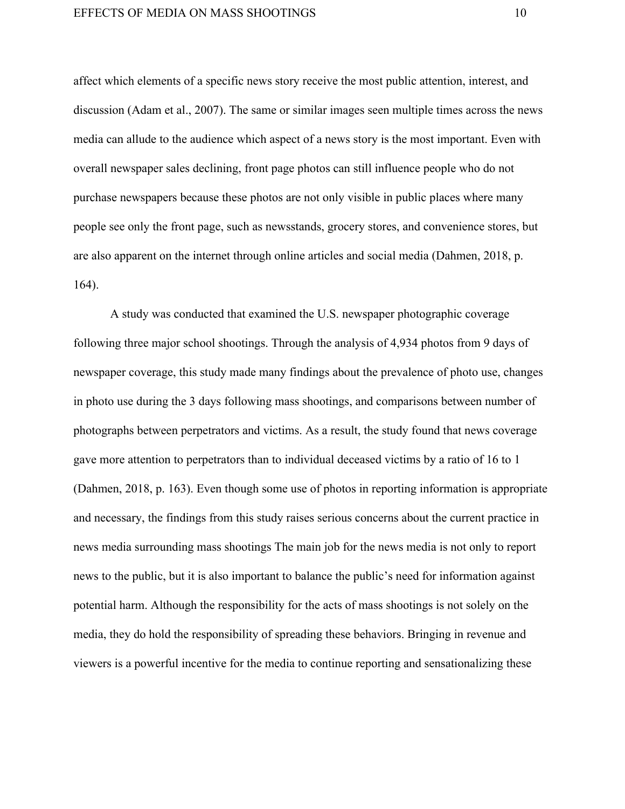affect which elements of a specific news story receive the most public attention, interest, and discussion (Adam et al., 2007). The same or similar images seen multiple times across the news media can allude to the audience which aspect of a news story is the most important. Even with overall newspaper sales declining, front page photos can still influence people who do not purchase newspapers because these photos are not only visible in public places where many people see only the front page, such as newsstands, grocery stores, and convenience stores, but are also apparent on the internet through online articles and social media (Dahmen, 2018, p. 164).

A study was conducted that examined the U.S. newspaper photographic coverage following three major school shootings. Through the analysis of 4,934 photos from 9 days of newspaper coverage, this study made many findings about the prevalence of photo use, changes in photo use during the 3 days following mass shootings, and comparisons between number of photographs between perpetrators and victims. As a result, the study found that news coverage gave more attention to perpetrators than to individual deceased victims by a ratio of 16 to 1 (Dahmen, 2018, p. 163). Even though some use of photos in reporting information is appropriate and necessary, the findings from this study raises serious concerns about the current practice in news media surrounding mass shootings The main job for the news media is not only to report news to the public, but it is also important to balance the public's need for information against potential harm. Although the responsibility for the acts of mass shootings is not solely on the media, they do hold the responsibility of spreading these behaviors. Bringing in revenue and viewers is a powerful incentive for the media to continue reporting and sensationalizing these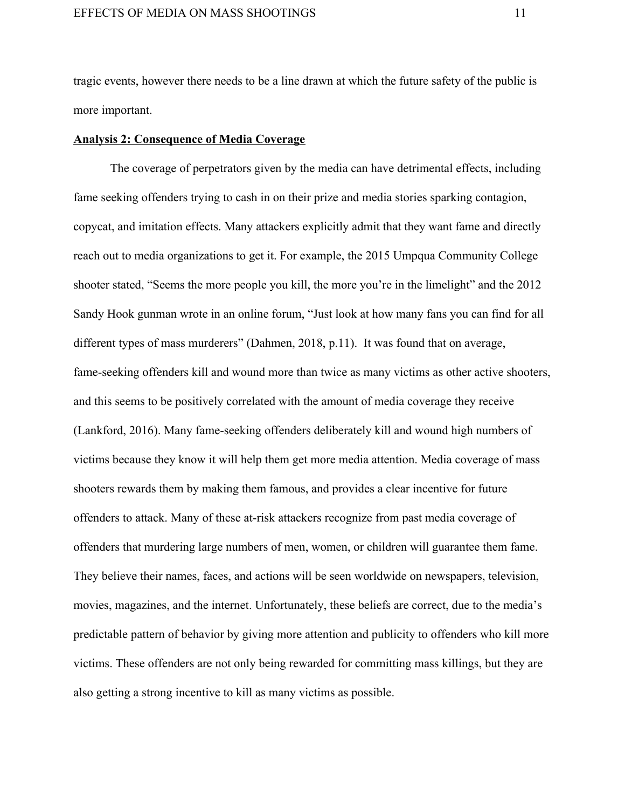tragic events, however there needs to be a line drawn at which the future safety of the public is more important.

# **Analysis 2: Consequence of Media Coverage**

The coverage of perpetrators given by the media can have detrimental effects, including fame seeking offenders trying to cash in on their prize and media stories sparking contagion, copycat, and imitation effects. Many attackers explicitly admit that they want fame and directly reach out to media organizations to get it. For example, the 2015 Umpqua Community College shooter stated, "Seems the more people you kill, the more you're in the limelight" and the 2012 Sandy Hook gunman wrote in an online forum, "Just look at how many fans you can find for all different types of mass murderers" (Dahmen, 2018, p.11). It was found that on average, fame-seeking offenders kill and wound more than twice as many victims as other active shooters, and this seems to be positively correlated with the amount of media coverage they receive (Lankford, 2016). Many fame-seeking offenders deliberately kill and wound high numbers of victims because they know it will help them get more media attention. Media coverage of mass shooters rewards them by making them famous, and provides a clear incentive for future offenders to attack. Many of these at-risk attackers recognize from past media coverage of offenders that murdering large numbers of men, women, or children will guarantee them fame. They believe their names, faces, and actions will be seen worldwide on newspapers, television, movies, magazines, and the internet. Unfortunately, these beliefs are correct, due to the media's predictable pattern of behavior by giving more attention and publicity to offenders who kill more victims. These offenders are not only being rewarded for committing mass killings, but they are also getting a strong incentive to kill as many victims as possible.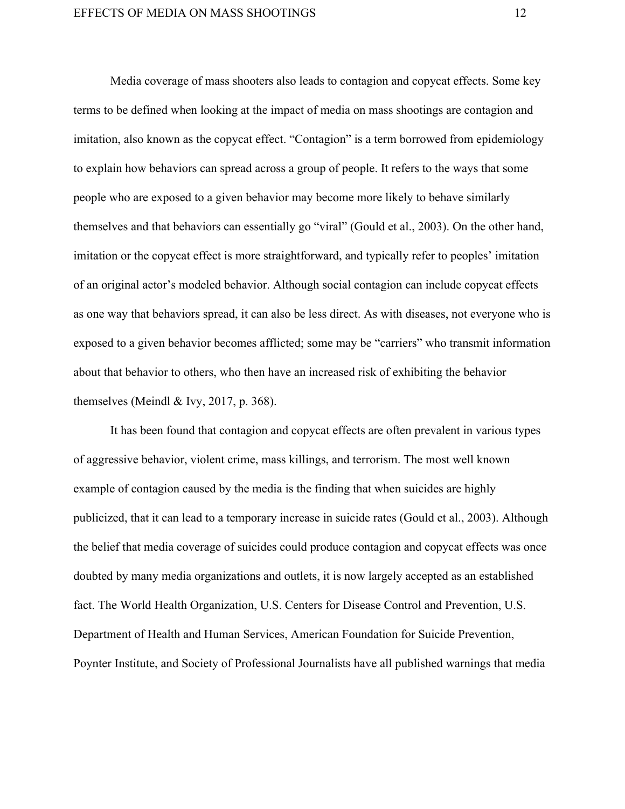Media coverage of mass shooters also leads to contagion and copycat effects. Some key terms to be defined when looking at the impact of media on mass shootings are contagion and imitation, also known as the copycat effect. "Contagion" is a term borrowed from epidemiology to explain how behaviors can spread across a group of people. It refers to the ways that some people who are exposed to a given behavior may become more likely to behave similarly themselves and that behaviors can essentially go "viral" (Gould et al., 2003). On the other hand, imitation or the copycat effect is more straightforward, and typically refer to peoples' imitation of an original actor's modeled behavior. Although social contagion can include copycat effects as one way that behaviors spread, it can also be less direct. As with diseases, not everyone who is exposed to a given behavior becomes afflicted; some may be "carriers" who transmit information about that behavior to others, who then have an increased risk of exhibiting the behavior themselves (Meindl & Ivy, 2017, p. 368).

It has been found that contagion and copycat effects are often prevalent in various types of aggressive behavior, violent crime, mass killings, and terrorism. The most well known example of contagion caused by the media is the finding that when suicides are highly publicized, that it can lead to a temporary increase in suicide rates (Gould et al., 2003). Although the belief that media coverage of suicides could produce contagion and copycat effects was once doubted by many media organizations and outlets, it is now largely accepted as an established fact. The World Health Organization, U.S. Centers for Disease Control and Prevention, U.S. Department of Health and Human Services, American Foundation for Suicide Prevention, Poynter Institute, and Society of Professional Journalists have all published warnings that media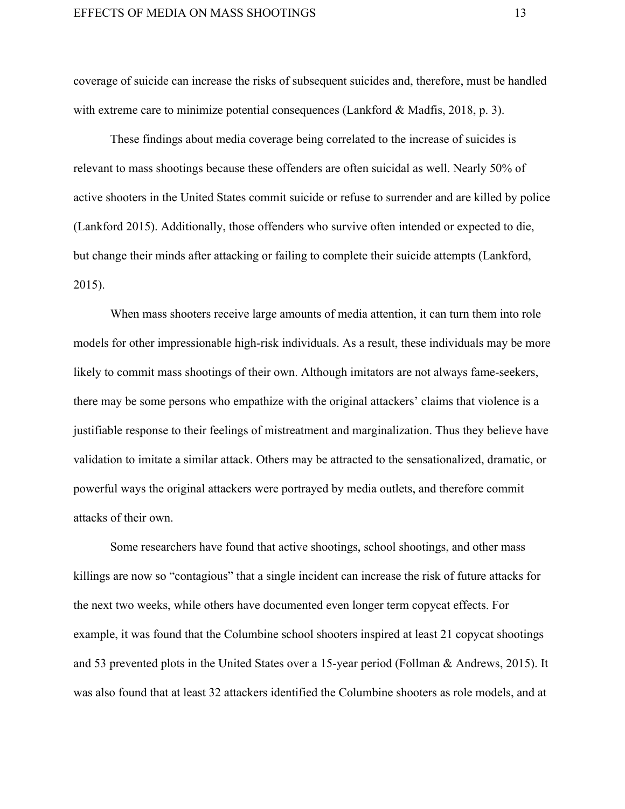coverage of suicide can increase the risks of subsequent suicides and, therefore, must be handled with extreme care to minimize potential consequences (Lankford & Madfis, 2018, p. 3).

These findings about media coverage being correlated to the increase of suicides is relevant to mass shootings because these offenders are often suicidal as well. Nearly 50% of active shooters in the United States commit suicide or refuse to surrender and are killed by police (Lankford 2015). Additionally, those offenders who survive often intended or expected to die, but change their minds after attacking or failing to complete their suicide attempts (Lankford, 2015).

When mass shooters receive large amounts of media attention, it can turn them into role models for other impressionable high-risk individuals. As a result, these individuals may be more likely to commit mass shootings of their own. Although imitators are not always fame-seekers, there may be some persons who empathize with the original attackers' claims that violence is a justifiable response to their feelings of mistreatment and marginalization. Thus they believe have validation to imitate a similar attack. Others may be attracted to the sensationalized, dramatic, or powerful ways the original attackers were portrayed by media outlets, and therefore commit attacks of their own.

Some researchers have found that active shootings, school shootings, and other mass killings are now so "contagious" that a single incident can increase the risk of future attacks for the next two weeks, while others have documented even longer term copycat effects. For example, it was found that the Columbine school shooters inspired at least 21 copycat shootings and 53 prevented plots in the United States over a 15-year period (Follman & Andrews, 2015). It was also found that at least 32 attackers identified the Columbine shooters as role models, and at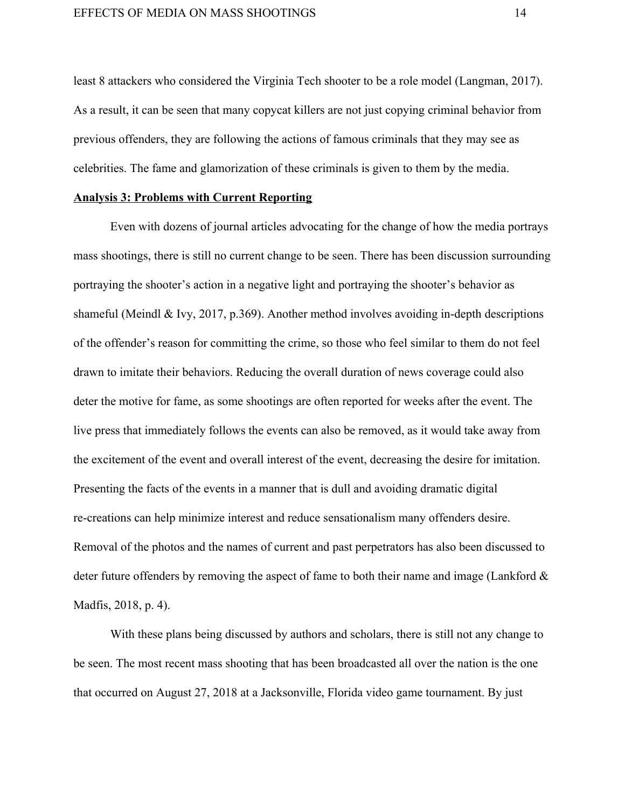least 8 attackers who considered the Virginia Tech shooter to be a role model (Langman, 2017). As a result, it can be seen that many copycat killers are not just copying criminal behavior from previous offenders, they are following the actions of famous criminals that they may see as celebrities. The fame and glamorization of these criminals is given to them by the media.

# **Analysis 3: Problems with Current Reporting**

Even with dozens of journal articles advocating for the change of how the media portrays mass shootings, there is still no current change to be seen. There has been discussion surrounding portraying the shooter's action in a negative light and portraying the shooter's behavior as shameful (Meindl & Ivy, 2017, p.369). Another method involves avoiding in-depth descriptions of the offender's reason for committing the crime, so those who feel similar to them do not feel drawn to imitate their behaviors. Reducing the overall duration of news coverage could also deter the motive for fame, as some shootings are often reported for weeks after the event. The live press that immediately follows the events can also be removed, as it would take away from the excitement of the event and overall interest of the event, decreasing the desire for imitation. Presenting the facts of the events in a manner that is dull and avoiding dramatic digital re-creations can help minimize interest and reduce sensationalism many offenders desire. Removal of the photos and the names of current and past perpetrators has also been discussed to deter future offenders by removing the aspect of fame to both their name and image (Lankford  $\&$ Madfis, 2018, p. 4).

With these plans being discussed by authors and scholars, there is still not any change to be seen. The most recent mass shooting that has been broadcasted all over the nation is the one that occurred on August 27, 2018 at a Jacksonville, Florida video game tournament. By just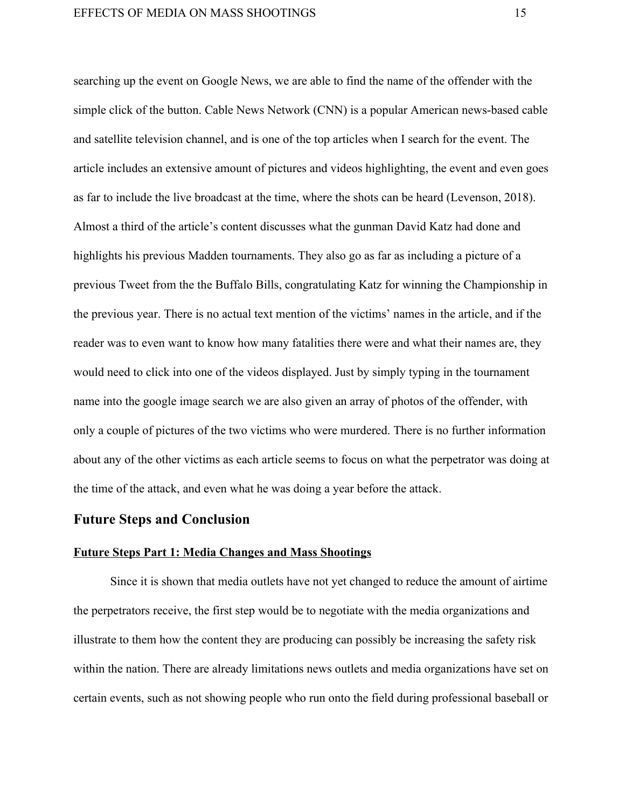searching up the event on Google News, we are able to find the name of the offender with the simple click of the button. Cable News Network (CNN) is a popular American news-based cable and satellite television channel, and is one of the top articles when I search for the event. The article includes an extensive amount of pictures and videos highlighting, the event and even goes as far to include the live broadcast at the time, where the shots can be heard (Levenson, 2018). Almost a third of the article's content discusses what the gunman David Katz had done and highlights his previous Madden tournaments. They also go as far as including a picture of a previous Tweet from the the Buffalo Bills, congratulating Katz for winning the Championship in the previous year. There is no actual text mention of the victims' names in the article, and if the reader was to even want to know how many fatalities there were and what their names are, they would need to click into one of the videos displayed. Just by simply typing in the tournament name into the google image search we are also given an array of photos of the offender, with only a couple of pictures of the two victims who were murdered. There is no further information about any of the other victims as each article seems to focus on what the perpetrator was doing at the time of the attack, and even what he was doing a year before the attack.

# **Future Steps and Conclusion**

# **Future Steps Part 1: Media Changes and Mass Shootings**

Since it is shown that media outlets have not yet changed to reduce the amount of airtime the perpetrators receive, the first step would be to negotiate with the media organizations and illustrate to them how the content they are producing can possibly be increasing the safety risk within the nation. There are already limitations news outlets and media organizations have set on certain events, such as not showing people who run onto the field during professional baseball or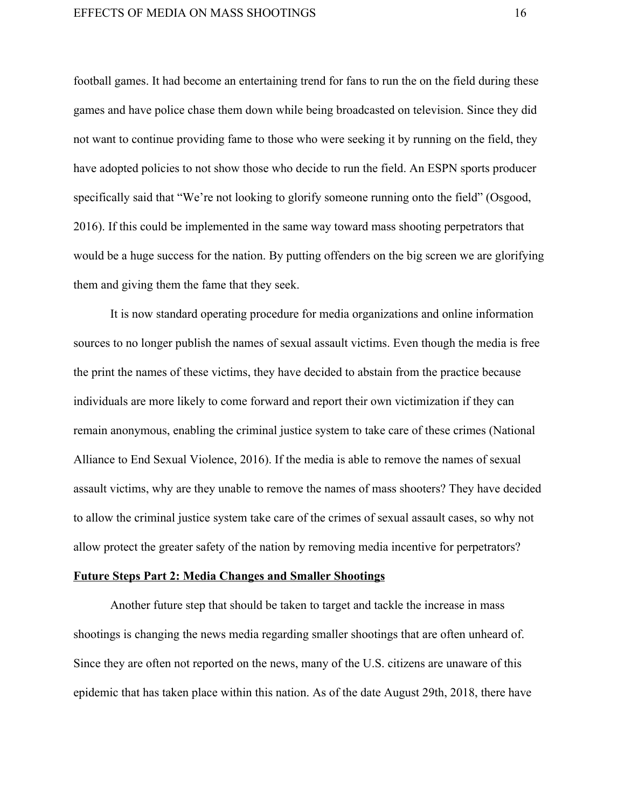football games. It had become an entertaining trend for fans to run the on the field during these games and have police chase them down while being broadcasted on television. Since they did not want to continue providing fame to those who were seeking it by running on the field, they have adopted policies to not show those who decide to run the field. An ESPN sports producer specifically said that "We're not looking to glorify someone running onto the field" (Osgood, 2016). If this could be implemented in the same way toward mass shooting perpetrators that would be a huge success for the nation. By putting offenders on the big screen we are glorifying them and giving them the fame that they seek.

It is now standard operating procedure for media organizations and online information sources to no longer publish the names of sexual assault victims. Even though the media is free the print the names of these victims, they have decided to abstain from the practice because individuals are more likely to come forward and report their own victimization if they can remain anonymous, enabling the criminal justice system to take care of these crimes (National Alliance to End Sexual Violence, 2016). If the media is able to remove the names of sexual assault victims, why are they unable to remove the names of mass shooters? They have decided to allow the criminal justice system take care of the crimes of sexual assault cases, so why not allow protect the greater safety of the nation by removing media incentive for perpetrators?

# **Future Steps Part 2: Media Changes and Smaller Shootings**

Another future step that should be taken to target and tackle the increase in mass shootings is changing the news media regarding smaller shootings that are often unheard of. Since they are often not reported on the news, many of the U.S. citizens are unaware of this epidemic that has taken place within this nation. As of the date August 29th, 2018, there have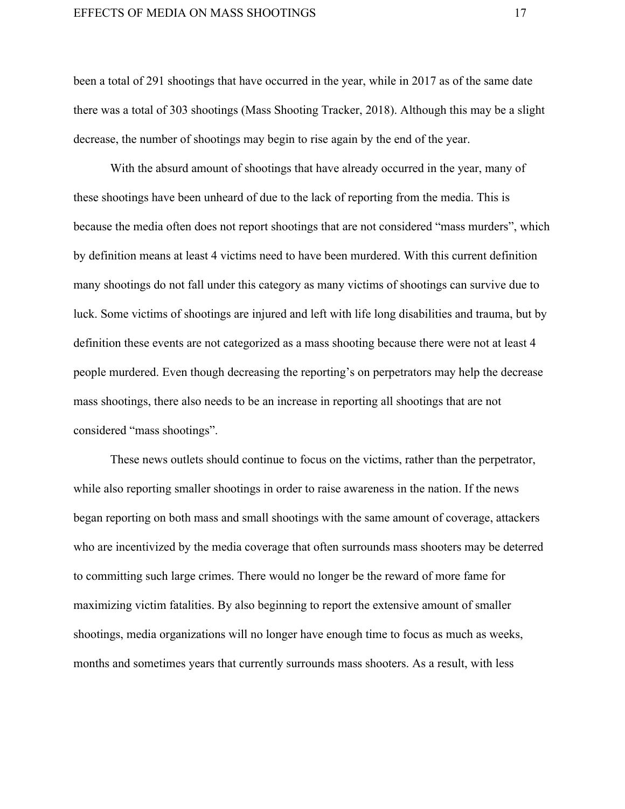#### EFFECTS OF MEDIA ON MASS SHOOTINGS 17

been a total of 291 shootings that have occurred in the year, while in 2017 as of the same date there was a total of 303 shootings (Mass Shooting Tracker, 2018). Although this may be a slight decrease, the number of shootings may begin to rise again by the end of the year.

With the absurd amount of shootings that have already occurred in the year, many of these shootings have been unheard of due to the lack of reporting from the media. This is because the media often does not report shootings that are not considered "mass murders", which by definition means at least 4 victims need to have been murdered. With this current definition many shootings do not fall under this category as many victims of shootings can survive due to luck. Some victims of shootings are injured and left with life long disabilities and trauma, but by definition these events are not categorized as a mass shooting because there were not at least 4 people murdered. Even though decreasing the reporting's on perpetrators may help the decrease mass shootings, there also needs to be an increase in reporting all shootings that are not considered "mass shootings".

These news outlets should continue to focus on the victims, rather than the perpetrator, while also reporting smaller shootings in order to raise awareness in the nation. If the news began reporting on both mass and small shootings with the same amount of coverage, attackers who are incentivized by the media coverage that often surrounds mass shooters may be deterred to committing such large crimes. There would no longer be the reward of more fame for maximizing victim fatalities. By also beginning to report the extensive amount of smaller shootings, media organizations will no longer have enough time to focus as much as weeks, months and sometimes years that currently surrounds mass shooters. As a result, with less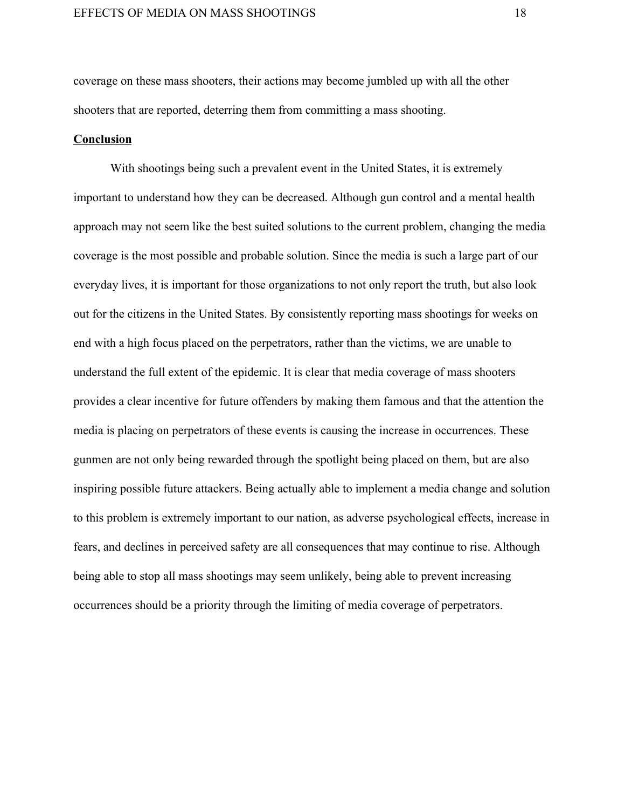coverage on these mass shooters, their actions may become jumbled up with all the other shooters that are reported, deterring them from committing a mass shooting.

# **Conclusion**

With shootings being such a prevalent event in the United States, it is extremely important to understand how they can be decreased. Although gun control and a mental health approach may not seem like the best suited solutions to the current problem, changing the media coverage is the most possible and probable solution. Since the media is such a large part of our everyday lives, it is important for those organizations to not only report the truth, but also look out for the citizens in the United States. By consistently reporting mass shootings for weeks on end with a high focus placed on the perpetrators, rather than the victims, we are unable to understand the full extent of the epidemic. It is clear that media coverage of mass shooters provides a clear incentive for future offenders by making them famous and that the attention the media is placing on perpetrators of these events is causing the increase in occurrences. These gunmen are not only being rewarded through the spotlight being placed on them, but are also inspiring possible future attackers. Being actually able to implement a media change and solution to this problem is extremely important to our nation, as adverse psychological effects, increase in fears, and declines in perceived safety are all consequences that may continue to rise. Although being able to stop all mass shootings may seem unlikely, being able to prevent increasing occurrences should be a priority through the limiting of media coverage of perpetrators.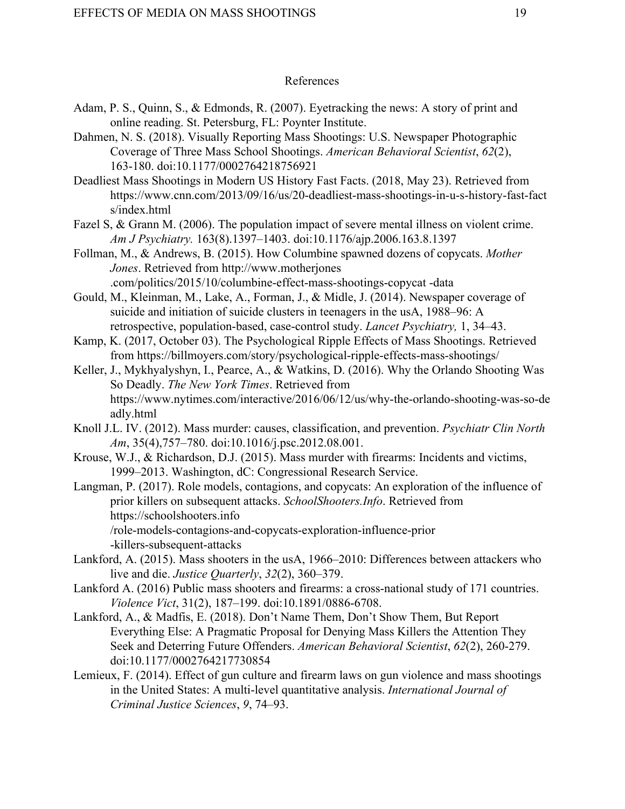# References

- Adam, P. S., Quinn, S., & Edmonds, R. (2007). Eyetracking the news: A story of print and online reading. St. Petersburg, FL: Poynter Institute.
- Dahmen, N. S. (2018). Visually Reporting Mass Shootings: U.S. Newspaper Photographic Coverage of Three Mass School Shootings. *American Behavioral Scientist*, *62*(2), 163-180. doi:10.1177/0002764218756921
- Deadliest Mass Shootings in Modern US History Fast Facts. (2018, May 23). Retrieved from [https://www.cnn.com/2013/09/16/us/20-deadliest-mass-shootings-in-u-s-history-fast-fact](https://www.cnn.com/2013/09/16/us/20-deadliest-mass-shootings-in-u-s-history-fast-facts/index.html) [s/index.html](https://www.cnn.com/2013/09/16/us/20-deadliest-mass-shootings-in-u-s-history-fast-facts/index.html)
- Fazel S, & Grann M. (2006). The population impact of severe mental illness on violent crime. *Am J Psychiatry.* 163(8).1397–1403. doi[:10.1176/ajp.2006.163.8.1397](https://doi.org/10.1176/ajp.2006.163.8.1397)
- Follman, M., & Andrews, B. (2015). How Columbine spawned dozens of copycats. *Mother Jones*. Retrieved from http://www.motherjones .com/politics/2015/10/columbine-effect-mass-shootings-copycat -data
- Gould, M., Kleinman, M., Lake, A., Forman, J., & Midle, J. (2014). Newspaper coverage of suicide and initiation of suicide clusters in teenagers in the usA, 1988–96: A retrospective, population-based, case-control study. *Lancet Psychiatry,* 1, 34–43.
- Kamp, K. (2017, October 03). The Psychological Ripple Effects of Mass Shootings. Retrieved from https://billmoyers.com/story/psychological-ripple-effects-mass-shootings/
- Keller, J., Mykhyalyshyn, I., Pearce, A., & Watkins, D. (2016). Why the Orlando Shooting Was So Deadly. *The New York Times*. Retrieved from [https://www.nytimes.com/interactive/2016/06/12/us/why-the-orlando-shooting-was-so-de](https://www.nytimes.com/interactive/2016/06/12/us/why-the-orlando-shooting-was-so-deadly.html) [adly.html](https://www.nytimes.com/interactive/2016/06/12/us/why-the-orlando-shooting-was-so-deadly.html)
- Knoll J.L. IV. (2012). Mass murder: causes, classification, and prevention. *Psychiatr Clin North Am*, 35(4),757–780. doi:10.1016/j.psc.2012.08.001.
- Krouse, W.J., & Richardson, D.J. (2015). Mass murder with firearms: Incidents and victims, 1999–2013. Washington, dC: Congressional Research Service.
- Langman, P. (2017). Role models, contagions, and copycats: An exploration of the influence of prior killers on subsequent attacks. *SchoolShooters.Info*. Retrieved from https://schoolshooters.info /role-models-contagions-and-copycats-exploration-influence-prior -killers-subsequent-attacks
- Lankford, A. (2015). Mass shooters in the usA, 1966–2010: Differences between attackers who live and die. *Justice Quarterly*, *32*(2), 360–379.
- Lankford A. (2016) Public mass shooters and firearms: a cross-national study of 171 countries. *Violence Vict*, 31(2), 187–199. doi:10.1891/0886-6708.
- Lankford, A., & Madfis, E. (2018). Don't Name Them, Don't Show Them, But Report Everything Else: A Pragmatic Proposal for Denying Mass Killers the Attention They Seek and Deterring Future Offenders. *American Behavioral Scientist*, *62*(2), 260-279. doi:10.1177/0002764217730854
- Lemieux, F. (2014). Effect of gun culture and firearm laws on gun violence and mass shootings in the United States: A multi-level quantitative analysis. *International Journal of Criminal Justice Sciences*, *9*, 74–93.